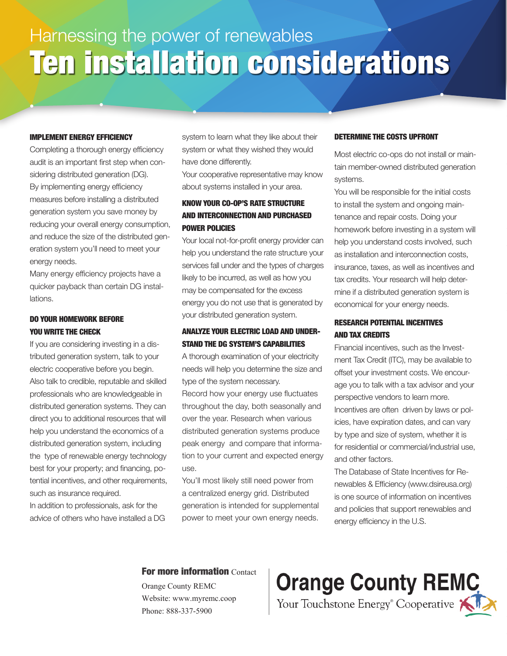# Harnessing the power of renewables Ten installation considerations

#### IMPLEMENT ENERGY EFFICIENCY

Completing a thorough energy efficiency audit is an important first step when considering distributed generation (DG). By implementing energy efficiency measures before installing a distributed generation system you save money by reducing your overall energy consumption, and reduce the size of the distributed generation system you'll need to meet your energy needs.

Many energy efficiency projects have a quicker payback than certain DG installations.

# DO YOUR HOMEWORK BEFORE YOU WRITE THE CHECK

If you are considering investing in a distributed generation system, talk to your electric cooperative before you begin. Also talk to credible, reputable and skilled professionals who are knowledgeable in distributed generation systems. They can direct you to additional resources that will help you understand the economics of a distributed generation system, including the type of renewable energy technology best for your property; and financing, potential incentives, and other requirements, such as insurance required.

In addition to professionals, ask for the advice of others who have installed a DG system to learn what they like about their system or what they wished they would have done differently.

Your cooperative representative may know about systems installed in your area.

# KNOW YOUR CO-OP'S RATE STRUCTURE AND INTERCONNECTION AND PURCHASED POWER POLICIES

Your local not-for-profit energy provider can help you understand the rate structure your services fall under and the types of charges likely to be incurred, as well as how you may be compensated for the excess energy you do not use that is generated by your distributed generation system.

# ANALYZE YOUR ELECTRIC LOAD AND UNDER-STAND THE DG SYSTEM'S CAPABILITIES

A thorough examination of your electricity needs will help you determine the size and type of the system necessary.

Record how your energy use fluctuates throughout the day, both seasonally and over the year. Research when various distributed generation systems produce peak energy and compare that information to your current and expected energy use.

You'll most likely still need power from a centralized energy grid. Distributed generation is intended for supplemental power to meet your own energy needs.

#### DETERMINE THE COSTS UPFRONT

Most electric co-ops do not install or maintain member-owned distributed generation systems.

You will be responsible for the initial costs to install the system and ongoing maintenance and repair costs. Doing your homework before investing in a system will help you understand costs involved, such as installation and interconnection costs, insurance, taxes, as well as incentives and tax credits. Your research will help determine if a distributed generation system is economical for your energy needs.

# RESEARCH POTENTIAL INCENTIVES AND TAX CREDITS

Financial incentives, such as the Investment Tax Credit (ITC), may be available to offset your investment costs. We encourage you to talk with a tax advisor and your perspective vendors to learn more. Incentives are often driven by laws or policies, have expiration dates, and can vary by type and size of system, whether it is for residential or commercial/industrial use, and other factors.

The Database of State Incentives for Renewables & Efficiency (www.dsireusa.org) is one source of information on incentives and policies that support renewables and energy efficiency in the U.S.

## For more information Contact

Orange County REMC Website: www.myremc.coop Phone: 888-337-5900

**Orange County REMC** Your Touchstone Energy<sup>®</sup> Cooperative